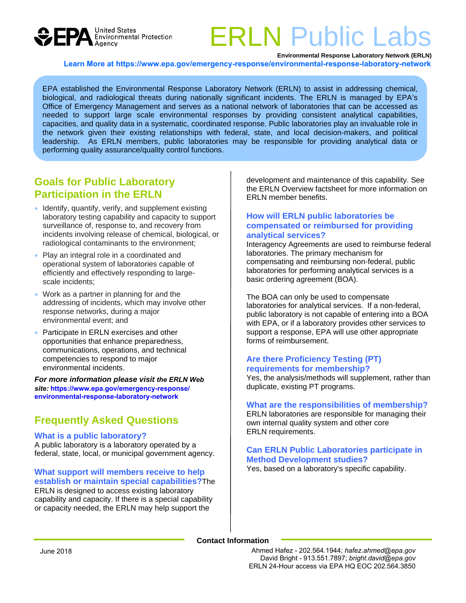

# ERLN Public La

**Environmental Response Laboratory Network (ERLN)** 

**Learn More at https://www.epa.gov/emergency-response/environmental-response-laboratory-network**

 Office of Emergency Management and serves as a national network of laboratories that can be accessed as EPA established the Environmental Response Laboratory Network (ERLN) to assist in addressing chemical, biological, and radiological threats during nationally significant incidents. The ERLN is managed by EPA's needed to support large scale environmental responses by providing consistent analytical capabilities, capacities, and quality data in a systematic, coordinated response. Public laboratories play an invaluable role in the network given their existing relationships with federal, state, and local decision-makers, and political leadership. As ERLN members, public laboratories may be responsible for providing analytical data or performing quality assurance/quality control functions.

## **Goals for Public Laboratory Participation in the ERLN**

- Identify, quantify, verify, and supplement existing laboratory testing capability and capacity to support surveillance of, response to, and recovery from incidents involving release of chemical, biological, or radiological contaminants to the environment;
- Play an integral role in a coordinated and operational system of laboratories capable of efficiently and effectively responding to largescale incidents;
- Work as a partner in planning for and the addressing of incidents, which may involve other response networks, during a major environmental event; and
- Participate in ERLN exercises and other opportunities that enhance preparedness, communications, operations, and technical competencies to respond to major environmental incidents.

*For more information please visit the ERLN Web site:* **https://www.epa.gov/emergency-response/ [environmental-response-laboratory-network](https://www.epa.gov/emergency-response/environmental-response-laboratory-network)**

# **Frequently Asked Questions**

#### **What is a public laboratory?**

A public laboratory is a laboratory operated by a federal, state, local, or municipal government agency.

#### **What support will members receive to help establish or maintain special capabilities?**The

ERLN is designed to access existing laboratory capability and capacity. If there is a special capability or capacity needed, the ERLN may help support the

development and maintenance of this capability. See the ERLN Overview factsheet for more information on ERLN member benefits.

#### **How will ERLN public laboratories be compensated or reimbursed for providing analytical services?**

Interagency Agreements are used to reimburse federal laboratories. The primary mechanism for compensating and reimbursing non-federal, public laboratories for performing analytical services is a basic ordering agreement (BOA).

The BOA can only be used to compensate laboratories for analytical services. If a non-federal, public laboratory is not capable of entering into a BOA with EPA, or if a laboratory provides other services to support a response, EPA will use other appropriate forms of reimbursement.

#### **Are there Proficiency Testing (PT) requirements for membership?**

Yes, the analysis/methods will supplement, rather than duplicate, existing PT programs.

#### **What are the responsibilities of membership?**

ERLN laboratories are responsible for managing their own internal quality system and other core ERLN requirements.

#### **Can ERLN Public Laboratories participate in Method Development studies?**

Yes, based on a laboratory's specific capability.

**Contact Information** 

June 2018 Ahmed Hafez - 202.564.1944; *hafez.ahmed@epa.gov* David Bright - 913.551.7897; *bright.david@epa.gov* ERLN 24-Hour access via EPA HQ EOC 202.564.3850